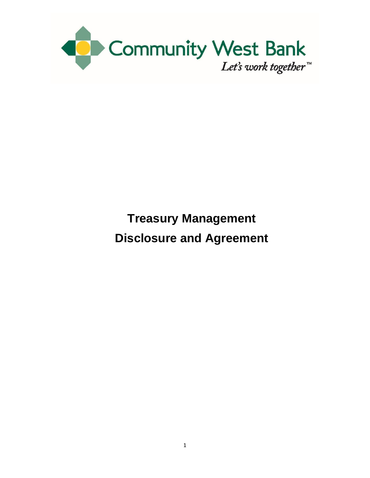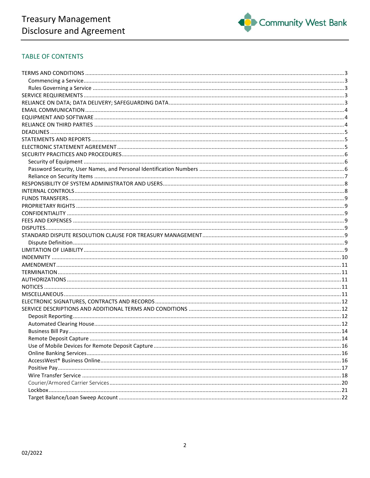

# **TABLE OF CONTENTS**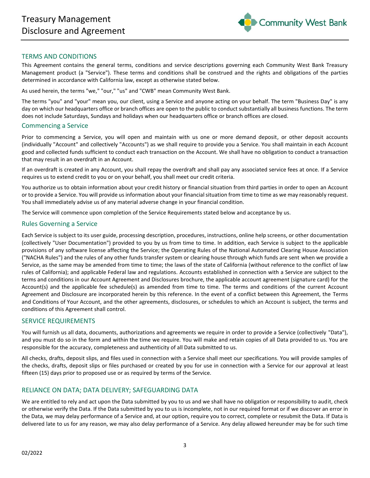

# <span id="page-2-0"></span>TERMS AND CONDITIONS

This Agreement contains the general terms, conditions and service descriptions governing each Community West Bank Treasury Management product (a "Service"). These terms and conditions shall be construed and the rights and obligations of the parties determined in accordance with California law, except as otherwise stated below.

As used herein, the terms "we," "our," "us" and "CWB" mean Community West Bank.

The terms "you" and "your" mean you, our client, using a Service and anyone acting on your behalf. The term "Business Day" is any day on which our headquarters office or branch offices are open to the public to conduct substantially all business functions. The term does not include Saturdays, Sundays and holidays when our headquarters office or branch offices are closed.

#### <span id="page-2-1"></span>Commencing a Service

Prior to commencing a Service, you will open and maintain with us one or more demand deposit, or other deposit accounts (individually "Account" and collectively "Accounts") as we shall require to provide you a Service. You shall maintain in each Account good and collected funds sufficient to conduct each transaction on the Account. We shall have no obligation to conduct a transaction that may result in an overdraft in an Account.

If an overdraft is created in any Account, you shall repay the overdraft and shall pay any associated service fees at once. If a Service requires us to extend credit to you or on your behalf, you shall meet our credit criteria.

You authorize us to obtain information about your credit history or financial situation from third parties in order to open an Account or to provide a Service. You will provide us information about your financial situation from time to time as we may reasonably request. You shall immediately advise us of any material adverse change in your financial condition.

The Service will commence upon completion of the Service Requirements stated below and acceptance by us.

#### <span id="page-2-2"></span>Rules Governing a Service

Each Service is subject to its user guide, processing description, procedures, instructions, online help screens, or other documentation (collectively "User Documentation") provided to you by us from time to time. In addition, each Service is subject to the applicable provisions of any software license affecting the Service; the Operating Rules of the National Automated Clearing House Association ("NACHA Rules") and the rules of any other funds transfer system or clearing house through which funds are sent when we provide a Service, as the same may be amended from time to time; the laws of the state of California (without reference to the conflict of law rules of California); and applicable Federal law and regulations. Accounts established in connection with a Service are subject to the terms and conditions in our Account Agreement and Disclosures brochure, the applicable account agreement (signature card) for the Account(s) and the applicable fee schedule(s) as amended from time to time. The terms and conditions of the current Account Agreement and Disclosure are incorporated herein by this reference. In the event of a conflict between this Agreement, the Terms and Conditions of Your Account, and the other agreements, disclosures, or schedules to which an Account is subject, the terms and conditions of this Agreement shall control.

# <span id="page-2-3"></span>SERVICE REQUIREMENTS

You will furnish us all data, documents, authorizations and agreements we require in order to provide a Service (collectively "Data"), and you must do so in the form and within the time we require. You will make and retain copies of all Data provided to us. You are responsible for the accuracy, completeness and authenticity of all Data submitted to us.

All checks, drafts, deposit slips, and files used in connection with a Service shall meet our specifications. You will provide samples of the checks, drafts, deposit slips or files purchased or created by you for use in connection with a Service for our approval at least fifteen (15) days prior to proposed use or as required by terms of the Service.

# <span id="page-2-4"></span>RELIANCE ON DATA; DATA DELIVERY; SAFEGUARDING DATA

We are entitled to rely and act upon the Data submitted by you to us and we shall have no obligation or responsibility to audit, check or otherwise verify the Data. If the Data submitted by you to us is incomplete, not in our required format or if we discover an error in the Data, we may delay performance of a Service and, at our option, require you to correct, complete or resubmit the Data. If Data is delivered late to us for any reason, we may also delay performance of a Service. Any delay allowed hereunder may be for such time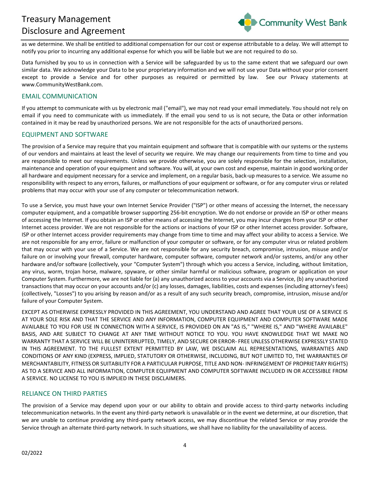

as we determine. We shall be entitled to additional compensation for our cost or expense attributable to a delay. We will attempt to notify you prior to incurring any additional expense for which you will be liable but we are not required to do so.

Data furnished by you to us in connection with a Service will be safeguarded by us to the same extent that we safeguard our own similar data. We acknowledge your Data to be your proprietary information and we will not use your Data without your prior consent except to provide a Service and for other purposes as required or permitted by law. See our Privacy statements at www.CommunityWestBank.com.

# <span id="page-3-0"></span>EMAIL COMMUNICATION

If you attempt to communicate with us by electronic mail ("email"), we may not read your email immediately. You should not rely on email if you need to communicate with us immediately. If the email you send to us is not secure, the Data or other information contained in it may be read by unauthorized persons. We are not responsible for the acts of unauthorized persons.

# <span id="page-3-1"></span>EQUIPMENT AND SOFTWARE

The provision of a Service may require that you maintain equipment and software that is compatible with our systems or the systems of our vendors and maintains at least the level of security we require. We may change our requirements from time to time and you are responsible to meet our requirements. Unless we provide otherwise, you are solely responsible for the selection, installation, maintenance and operation of your equipment and software. You will, at your own cost and expense, maintain in good working order all hardware and equipment necessary for a service and implement, on a regular basis, back-up measures to a service. We assume no responsibility with respect to any errors, failures, or malfunctions of your equipment or software, or for any computer virus or related problems that may occur with your use of any computer or telecommunication network.

To use a Service, you must have your own Internet Service Provider ("ISP") or other means of accessing the Internet, the necessary computer equipment, and a compatible browser supporting 256-bit encryption. We do not endorse or provide an ISP or other means of accessing the Internet. If you obtain an ISP or other means of accessing the Internet, you may incur charges from your ISP or other Internet access provider. We are not responsible for the actions or inactions of your ISP or other Internet access provider. Software, ISP or other Internet access provider requirements may change from time to time and may affect your ability to access a Service. We are not responsible for any error, failure or malfunction of your computer or software, or for any computer virus or related problem that may occur with your use of a Service. We are not responsible for any security breach, compromise, intrusion, misuse and/or failure on or involving your firewall, computer hardware, computer software, computer network and/or systems, and/or any other hardware and/or software (collectively, your "Computer System") through which you access a Service, including, without limitation, any virus, worm, trojan horse, malware, spyware, or other similar harmful or malicious software, program or application on your Computer System. Furthermore, we are not liable for (a) any unauthorized access to your accounts via a Service, (b) any unauthorized transactions that may occur on your accounts and/or (c) any losses, damages, liabilities, costs and expenses (including attorney's fees) (collectively, "Losses") to you arising by reason and/or as a result of any such security breach, compromise, intrusion, misuse and/or failure of your Computer System.

EXCEPT AS OTHERWISE EXPRESSLY PROVIDED IN THIS AGREEMENT, YOU UNDERSTAND AND AGREE THAT YOUR USE OF A SERVICE IS AT YOUR SOLE RISK AND THAT THE SERVICE AND ANY INFORMATION, COMPUTER EQUIPMENT AND COMPUTER SOFTWARE MADE AVAILABLE TO YOU FOR USE IN CONNECTION WITH A SERVICE, IS PROVIDED ON AN "AS IS," "WHERE IS," AND "WHERE AVAILABLE" BASIS, AND ARE SUBJECT TO CHANGE AT ANY TIME WITHOUT NOTICE TO YOU. YOU HAVE KNOWLEDGE THAT WE MAKE NO WARRANTY THAT A SERVICE WILL BE UNINTERRUPTED, TIMELY, AND SECURE OR ERROR- FREE UNLESS OTHERWISE EXPRESSLY STATED IN THIS AGREEMENT. TO THE FULLEST EXTENT PERMITTED BY LAW, WE DISCLAIM ALL REPRESENTATIONS, WARRANTIES AND CONDITIONS OF ANY KIND (EXPRESS, IMPLIED, STATUTORY OR OTHERWISE, INCLUDING, BUT NOT LIMITED TO, THE WARRANTIES OF MERCHANTABILITY, FITNESS OR SUITABILITY FOR A PARTICULAR PURPOSE, TITLE AND NON- INFRINGEMENT OF PROPRIETARY RIGHTS) AS TO A SERVICE AND ALL INFORMATION, COMPUTER EQUIPMENT AND COMPUTER SOFTWARE INCLUDED IN OR ACCESSIBLE FROM A SERVICE. NO LICENSE TO YOU IS IMPLIED IN THESE DISCLAIMERS.

# <span id="page-3-2"></span>RELIANCE ON THIRD PARTIES

The provision of a Service may depend upon your or our ability to obtain and provide access to third-party networks including telecommunication networks. In the event any third-party network is unavailable or in the event we determine, at our discretion, that we are unable to continue providing any third-party network access, we may discontinue the related Service or may provide the Service through an alternate third-party network. In such situations, we shall have no liability for the unavailability of access.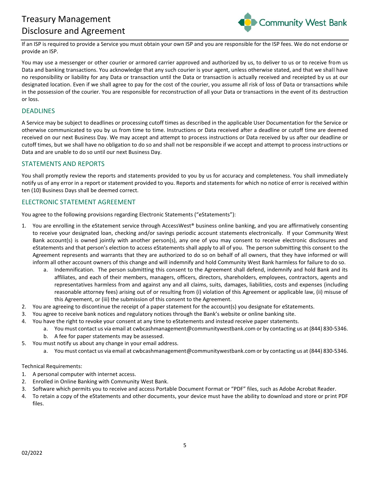

If an ISP is required to provide a Service you must obtain your own ISP and you are responsible for the ISP fees. We do not endorse or provide an ISP.

You may use a messenger or other courier or armored carrier approved and authorized by us, to deliver to us or to receive from us Data and banking transactions. You acknowledge that any such courier is your agent, unless otherwise stated, and that we shall have no responsibility or liability for any Data or transaction until the Data or transaction is actually received and receipted by us at our designated location. Even if we shall agree to pay for the cost of the courier, you assume all risk of loss of Data or transactions while in the possession of the courier. You are responsible for reconstruction of all your Data or transactions in the event of its destruction or loss.

#### <span id="page-4-0"></span>DEADLINES

A Service may be subject to deadlines or processing cutoff times as described in the applicable User Documentation for the Service or otherwise communicated to you by us from time to time. Instructions or Data received after a deadline or cutoff time are deemed received on our next Business Day. We may accept and attempt to process instructions or Data received by us after our deadline or cutoff times, but we shall have no obligation to do so and shall not be responsible if we accept and attempt to process instructions or Data and are unable to do so until our next Business Day.

#### <span id="page-4-1"></span>STATEMENTS AND REPORTS

You shall promptly review the reports and statements provided to you by us for accuracy and completeness. You shall immediately notify us of any error in a report or statement provided to you. Reports and statements for which no notice of error is received within ten (10) Business Days shall be deemed correct.

# <span id="page-4-2"></span>ELECTRONIC STATEMENT AGREEMENT

You agree to the following provisions regarding Electronic Statements ("eStatements"):

- 1. You are enrolling in the eStatement service through AccessWest® business online banking, and you are affirmatively consenting to receive your designated loan, checking and/or savings periodic account statements electronically. If your Community West Bank account(s) is owned jointly with another person(s), any one of you may consent to receive electronic disclosures and eStatements and that person's election to access eStatements shall apply to all of you. The person submitting this consent to the Agreement represents and warrants that they are authorized to do so on behalf of all owners, that they have informed or will inform all other account owners of this change and will indemnify and hold Community West Bank harmless for failure to do so.
	- a. Indemnification. The person submitting this consent to the Agreement shall defend, indemnify and hold Bank and its affiliates, and each of their members, managers, officers, directors, shareholders, employees, contractors, agents and representatives harmless from and against any and all claims, suits, damages, liabilities, costs and expenses (including reasonable attorney fees) arising out of or resulting from (i) violation of this Agreement or applicable law, (ii) misuse of this Agreement, or (iii) the submission of this consent to the Agreement.
- 2. You are agreeing to discontinue the receipt of a paper statement for the account(s) you designate for eStatements.
- 3. You agree to receive bank notices and regulatory notices through the Bank's website or online banking site.
- 4. You have the right to revoke your consent at any time to eStatements and instead receive paper statements.
	- a. You must contact us via email at cwbcashmanagement@communitywestbank.com or by contacting us at (844) 830-5346.
	- b. A fee for paper statements may be assessed.
- 5. You must notify us about any change in your email address.
	- a. You must contact us via email at cwbcashmanagement@communitywestbank.com or by contacting us at (844) 830-5346.

#### Technical Requirements:

- 1. A personal computer with internet access.
- 2. Enrolled in Online Banking with Community West Bank.
- 3. Software which permits you to receive and access Portable Document Format or "PDF" files, such as Adobe Acrobat Reader.
- 4. To retain a copy of the eStatements and other documents, your device must have the ability to download and store or print PDF files.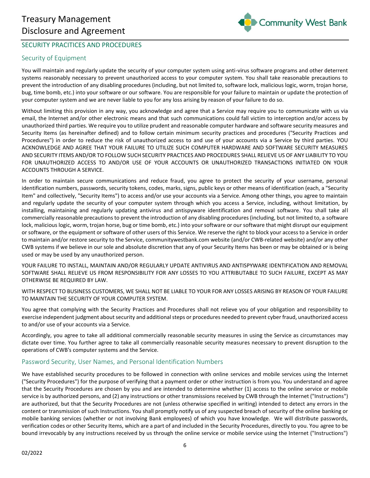

# <span id="page-5-0"></span>SECURITY PRACITICES AND PROCEDURES

# <span id="page-5-1"></span>Security of Equipment

You will maintain and regularly update the security of your computer system using anti-virus software programs and other deterrent systems reasonably necessary to prevent unauthorized access to your computer system. You shall take reasonable precautions to prevent the introduction of any disabling procedures (including, but not limited to, software lock, malicious logic, worm, trojan horse, bug, time bomb, etc.) into your software or our software. You are responsible for your failure to maintain or update the protection of your computer system and we are never liable to you for any loss arising by reason of your failure to do so.

Without limiting this provision in any way, you acknowledge and agree that a Service may require you to communicate with us via email, the Internet and/or other electronic means and that such communications could fall victim to interception and/or access by unauthorized third parties. We require you to utilize prudent and reasonable computer hardware and software security measures and Security Items (as hereinafter defined) and to follow certain minimum security practices and procedures ("Security Practices and Procedures") in order to reduce the risk of unauthorized access to and use of your accounts via a Service by third parties. YOU ACKNOWLEDGE AND AGREE THAT YOUR FAILURE TO UTILIZE SUCH COMPUTER HARDWARE AND SOFTWARE SECURITY MEASURES AND SECURITY ITEMS AND/OR TO FOLLOW SUCH SECURITY PRACTICES AND PROCEDURES SHALL RELIEVE US OF ANY LIABILITY TO YOU FOR UNAUTHORIZED ACCESS TO AND/OR USE OF YOUR ACCOUNTS OR UNAUTHORIZED TRANSACTIONS INITIATED ON YOUR ACCOUNTS THROUGH A SERVICE.

In order to maintain secure communications and reduce fraud, you agree to protect the security of your username, personal identification numbers, passwords, security tokens, codes, marks, signs, public keys or other means of identification (each, a "Security Item" and collectively, "Security Items") to access and/or use your accounts via a Service. Among other things, you agree to maintain and regularly update the security of your computer system through which you access a Service, including, without limitation, by installing, maintaining and regularly updating antivirus and antispyware identification and removal software. You shall take all commercially reasonable precautions to prevent the introduction of any disabling procedures (including, but not limited to, a software lock, malicious logic, worm, trojan horse, bug or time bomb, etc.) into your software or our software that might disrupt our equipment or software, or the equipment or software of other users of this Service. We reserve the right to block your access to a Service in order to maintain and/or restore security to the Service, communitywestbank.com website (and/or CWB-related website) and/or any other CWB systems if we believe in our sole and absolute discretion that any of your Security Items has been or may be obtained or is being used or may be used by any unauthorized person.

YOUR FAILURE TO INSTALL, MAINTAIN AND/OR REGULARLY UPDATE ANTIVIRUS AND ANTISPYWARE IDENTIFICATION AND REMOVAL SOFTWARE SHALL RELIEVE US FROM RESPONSIBILITY FOR ANY LOSSES TO YOU ATTRIBUTABLE TO SUCH FAILURE, EXCEPT AS MAY OTHERWISE BE REQUIRED BY LAW.

WITH RESPECT TO BUSINESS CUSTOMERS, WE SHALL NOT BE LIABLE TO YOUR FOR ANY LOSSES ARISING BY REASON OF YOUR FAILURE TO MAINTAIN THE SECURITY OF YOUR COMPUTER SYSTEM.

You agree that complying with the Security Practices and Procedures shall not relieve you of your obligation and responsibility to exercise independent judgment about security and additional steps or procedures needed to prevent cyber fraud, unauthorized access to and/or use of your accounts via a Service.

Accordingly, you agree to take all additional commercially reasonable security measures in using the Service as circumstances may dictate over time. You further agree to take all commercially reasonable security measures necessary to prevent disruption to the operations of CWB's computer systems and the Service.

# <span id="page-5-2"></span>Password Security, User Names, and Personal Identification Numbers

We have established security procedures to be followed in connection with online services and mobile services using the Internet ("Security Procedures") for the purpose of verifying that a payment order or other instruction is from you. You understand and agree that the Security Procedures are chosen by you and are intended to determine whether (1) access to the online service or mobile service is by authorized persons, and (2) any instructions or other transmissions received by CWB through the Internet ("Instructions") are authorized, but that the Security Procedures are not (unless otherwise specified in writing) intended to detect any errors in the content or transmission of such Instructions. You shall promptly notify us of any suspected breach of security of the online banking or mobile banking services (whether or not involving Bank employees) of which you have knowledge. We will distribute passwords, verification codes or other Security Items, which are a part of and included in the Security Procedures, directly to you. You agree to be bound irrevocably by any instructions received by us through the online service or mobile service using the Internet ("Instructions")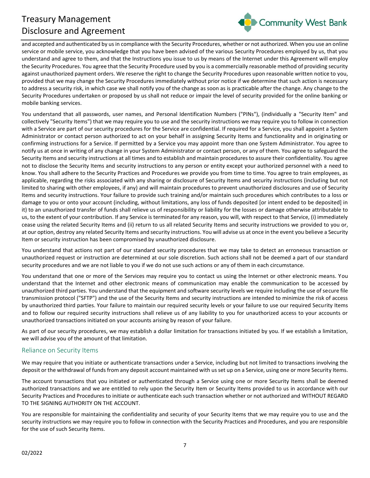

and accepted and authenticated by us in compliance with the Security Procedures, whether or not authorized. When you use an online service or mobile service, you acknowledge that you have been advised of the various Security Procedures employed by us, that you understand and agree to them, and that the Instructions you issue to us by means of the Internet under this Agreement will employ the Security Procedures. You agree that the Security Procedure used by you is a commercially reasonable method of providing security against unauthorized payment orders. We reserve the right to change the Security Procedures upon reasonable written notice to you, provided that we may change the Security Procedures immediately without prior notice if we determine that such action is necessary to address a security risk, in which case we shall notify you of the change as soon as is practicable after the change. Any change to the Security Procedures undertaken or proposed by us shall not reduce or impair the level of security provided for the online banking or mobile banking services.

You understand that all passwords, user names, and Personal Identification Numbers ("PINs"), (individually a "Security Item" and collectively "Security Items") that we may require you to use and the security instructions we may require you to follow in connection with a Service are part of our security procedures for the Service are confidential. If required for a Service, you shall appoint a System Administrator or contact person authorized to act on your behalf in assigning Security Items and functionality and in originating or confirming instructions for a Service. If permitted by a Service you may appoint more than one System Administrator. You agree to notify us at once in writing of any change in your System Administrator or contact person, or any of them. You agree to safeguard the Security Items and security instructions at all times and to establish and maintain procedures to assure their confidentiality. You agree not to disclose the Security Items and security instructions to any person or entity except your authorized personnel with a need to know. You shall adhere to the Security Practices and Procedures we provide you from time to time. You agree to train employees, as applicable, regarding the risks associated with any sharing or disclosure of Security Items and security instructions (including but not limited to sharing with other employees, if any) and will maintain procedures to prevent unauthorized disclosures and use of Security Items and security instructions. Your failure to provide such training and/or maintain such procedures which contributes to a loss or damage to you or onto your account (including, without limitations, any loss of funds deposited [or intent ended to be deposited] in it) to an unauthorized transfer of funds shall relieve us of responsibility or liability for the losses or damage otherwise attributable to us, to the extent of your contribution. If any Service is terminated for any reason, you will, with respect to that Service, (i) immediately cease using the related Security Items and (ii) return to us all related Security Items and security instructions we provided to you or, at our option, destroy any related Security Items and security instructions. You will advise us at once in the event you believe a Security Item or security instruction has been compromised by unauthorized disclosure.

You understand that actions not part of our standard security procedures that we may take to detect an erroneous transaction or unauthorized request or instruction are determined at our sole discretion. Such actions shall not be deemed a part of our standard security procedures and we are not liable to you if we do not use such actions or any of them in each circumstance.

You understand that one or more of the Services may require you to contact us using the Internet or other electronic means. You understand that the Internet and other electronic means of communication may enable the communication to be accessed by unauthorized third parties. You understand that the equipment and software security levels we require including the use of secure file transmission protocol ("SFTP") and the use of the Security Items and security instructions are intended to minimize the risk of access by unauthorized third parties. Your failure to maintain our required security levels or your failure to use our required Security Items and to follow our required security instructions shall relieve us of any liability to you for unauthorized access to your accounts or unauthorized transactions initiated on your accounts arising by reason of your failure.

As part of our security procedures, we may establish a dollar limitation for transactions initiated by you. If we establish a limitation, we will advise you of the amount of that limitation.

# <span id="page-6-0"></span>Reliance on Security Items

We may require that you initiate or authenticate transactions under a Service, including but not limited to transactions involving the deposit or the withdrawal of funds from any deposit account maintained with us set up on a Service, using one or more Security Items.

The account transactions that you initiated or authenticated through a Service using one or more Security Items shall be deemed authorized transactions and we are entitled to rely upon the Security Item or Security Items provided to us in accordance with our Security Practices and Procedures to initiate or authenticate each such transaction whether or not authorized and WITHOUT REGARD TO THE SIGNING AUTHORITY ON THE ACCOUNT.

You are responsible for maintaining the confidentiality and security of your Security Items that we may require you to use and the security instructions we may require you to follow in connection with the Security Practices and Procedures, and you are responsible for the use of such Security Items.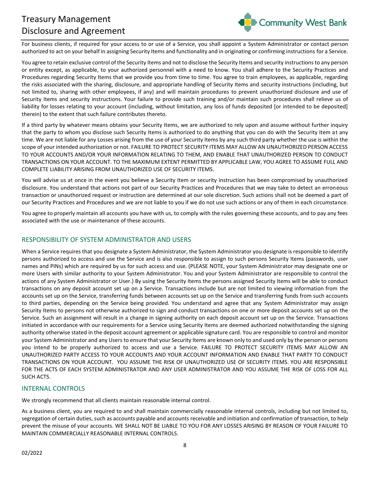

For business clients, if required for your access to or use of a Service, you shall appoint a System Administrator or contact person authorized to act on your behalf in assigning Security Items and functionality and in originating or confirming instructions for a Service.

You agree to retain exclusive control of the Security Items and not to disclose the Security Items and security instructions to any person or entity except, as applicable, to your authorized personnel with a need to know. You shall adhere to the Security Practices and Procedures regarding Security Items that we provide you from time to time. You agree to train employees, as applicable, regarding the risks associated with the sharing, disclosure, and appropriate handling of Security Items and security instructions (including, but not limited to, sharing with other employees, if any) and will maintain procedures to prevent unauthorized disclosure and use of Security Items and security instructions. Your failure to provide such training and/or maintain such procedures shall relieve us of liability for losses relating to your account (including, without limitation, any loss of funds deposited [or intended to be deposited] therein) to the extent that such failure contributes thereto.

If a third party by whatever means obtains your Security Items, we are authorized to rely upon and assume without further inquiry that the party to whom you disclose such Security Items is authorized to do anything that you can do with the Security Item at any time. We are not liable for any Losses arising from the use of your Security Items by any such third party whether the use is within the scope of your intended authorization or not. FAILURE TO PROTECT SECURITY ITEMS MAY ALLOW AN UNAUTHORIZED PERSON ACCESS TO YOUR ACCOUNTS AND/OR YOUR INFORMATION RELATING TO THEM, AND ENABLE THAT UNAUTHORIZED PERSON TO CONDUCT TRANSACTIONS ON YOUR ACCOUNT. TO THE MAXIMUM EXTENT PERMITTED BY APPLICABLE LAW, YOU AGREE TO ASSUME FULL AND COMPLETE LIABILITY ARISING FROM UNAUTHORIZED USE OF SECURITY ITEMS.

You will advise us at once in the event you believe a Security Item or security instruction has been compromised by unauthorized disclosure. You understand that actions not part of our Security Practices and Procedures that we may take to detect an erroneous transaction or unauthorized request or instruction are determined at our sole discretion. Such actions shall not be deemed a part of our Security Practices and Procedures and we are not liable to you if we do not use such actions or any of them in each circumstance.

You agree to properly maintain all accounts you have with us, to comply with the rules governing these accounts, and to pay any fees associated with the use or maintenance of these accounts.

# <span id="page-7-0"></span>RESPONSIBILITY OF SYSTEM ADMINISTRATOR AND USERS

When a Service requires that you designate a System Administrator, the System Administrator you designate is responsible to identify persons authorized to access and use the Service and is also responsible to assign to such persons Security Items (passwords, user names and PINs) which are required by us for such access and use. (PLEASE NOTE, your System Administrator may designate one or more Users with similar authority to your System Administrator. You and your System Administrator are responsible to control the actions of any System Administrator or User.) By using the Security Items the persons assigned Security Items will be able to conduct transactions on any deposit account set up on a Service. Transactions include but are not limited to viewing information from the accounts set up on the Service, transferring funds between accounts set up on the Service and transferring funds from such accounts to third parties, depending on the Service being provided. You understand and agree that any System Administrator may assign Security Items to persons not otherwise authorized to sign and conduct transactions on one or more deposit accounts set up on the Service. Such an assignment will result in a change in signing authority on each deposit account set up on the Service. Transactions initiated in accordance with our requirements for a Service using Security Items are deemed authorized notwithstanding the signing authority otherwise stated in the deposit account agreement or applicable signature card. You are responsible to control and monitor your System Administrator and any Users to ensure that your Security Items are known only to and used only by the person or persons you intend to be properly authorized to access and use a Service. FAILURE TO PROTECT SECURITY ITEMS MAY ALLOW AN UNAUTHORIZED PARTY ACCESS TO YOUR ACCOUNTS AND YOUR ACCOUNT INFORMATION AND ENABLE THAT PARTY TO CONDUCT TRANSACTIONS ON YOUR ACCOUNT. YOU ASSUME THE RISK OF UNAUTHORIZED USE OF SECURITY ITEMS. YOU ARE RESPONSIBLE FOR THE ACTS OF EACH SYSTEM ADMINISTRATOR AND ANY USER ADMINISTRATOR AND YOU ASSUME THE RISK OF LOSS FOR ALL SUCH ACTS.

# <span id="page-7-1"></span>INTERNAL CONTROLS

We strongly recommend that all clients maintain reasonable internal control.

As a business client, you are required to and shall maintain commercially reasonable internal controls, including but not limited to, segregation of certain duties, such as accounts payable and accounts receivable and initiation and confirmation of transaction, to help prevent the misuse of your accounts. WE SHALL NOT BE LIABLE TO YOU FOR ANY LOSSES ARISING BY REASON OF YOUR FAILURE TO MAINTAIN COMMERCIALLY REASONABLE INTERNAL CONTROLS.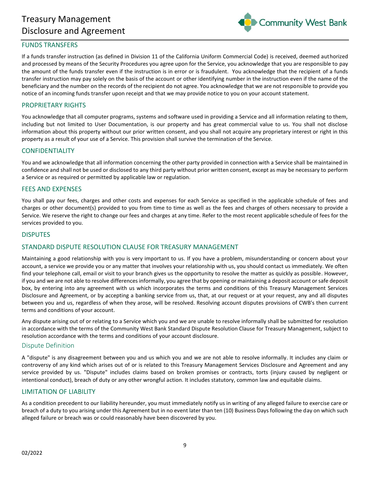

#### <span id="page-8-0"></span>FUNDS TRANSFERS

If a funds transfer instruction (as defined in Division 11 of the California Uniform Commercial Code) is received, deemed authorized and processed by means of the Security Procedures you agree upon for the Service, you acknowledge that you are responsible to pay the amount of the funds transfer even if the instruction is in error or is fraudulent. You acknowledge that the recipient of a funds transfer instruction may pay solely on the basis of the account or other identifying number in the instruction even if the name of the beneficiary and the number on the records of the recipient do not agree. You acknowledge that we are not responsible to provide you notice of an incoming funds transfer upon receipt and that we may provide notice to you on your account statement.

#### <span id="page-8-1"></span>PROPRIETARY RIGHTS

You acknowledge that all computer programs, systems and software used in providing a Service and all information relating to them, including but not limited to User Documentation, is our property and has great commercial value to us. You shall not disclose information about this property without our prior written consent, and you shall not acquire any proprietary interest or right in this property as a result of your use of a Service. This provision shall survive the termination of the Service.

#### <span id="page-8-2"></span>CONFIDENTIALITY

You and we acknowledge that all information concerning the other party provided in connection with a Service shall be maintained in confidence and shall not be used or disclosed to any third party without prior written consent, except as may be necessary to perform a Service or as required or permitted by applicable law or regulation.

#### <span id="page-8-3"></span>FEES AND EXPENSES

You shall pay our fees, charges and other costs and expenses for each Service as specified in the applicable schedule of fees and charges or other document(s) provided to you from time to time as well as the fees and charges of others necessary to provide a Service. We reserve the right to change our fees and charges at any time. Refer to the most recent applicable schedule of fees for the services provided to you.

#### <span id="page-8-4"></span>DISPUTES

# <span id="page-8-5"></span>STANDARD DISPUTE RESOLUTION CLAUSE FOR TREASURY MANAGEMENT

Maintaining a good relationship with you is very important to us. If you have a problem, misunderstanding or concern about your account, a service we provide you or any matter that involves your relationship with us, you should contact us immediately. We often find your telephone call, email or visit to your branch gives us the opportunity to resolve the matter as quickly as possible. However, if you and we are not able to resolve differences informally, you agree that by opening or maintaining a deposit account or safe deposit box, by entering into any agreement with us which incorporates the terms and conditions of this Treasury Management Services Disclosure and Agreement, or by accepting a banking service from us, that, at our request or at your request, any and all disputes between you and us, regardless of when they arose, will be resolved. Resolving account disputes provisions of CWB's then current terms and conditions of your account.

Any dispute arising out of or relating to a Service which you and we are unable to resolve informally shall be submitted for resolution in accordance with the terms of the Community West Bank Standard Dispute Resolution Clause for Treasury Management, subject to resolution accordance with the terms and conditions of your account disclosure.

#### <span id="page-8-6"></span>Dispute Definition

A "dispute" is any disagreement between you and us which you and we are not able to resolve informally. It includes any claim or controversy of any kind which arises out of or is related to this Treasury Management Services Disclosure and Agreement and any service provided by us. "Dispute" includes claims based on broken promises or contracts, torts (injury caused by negligent or intentional conduct), breach of duty or any other wrongful action. It includes statutory, common law and equitable claims.

#### <span id="page-8-7"></span>LIMITATION OF LIABILITY

As a condition precedent to our liability hereunder, you must immediately notify us in writing of any alleged failure to exercise care or breach of a duty to you arising under this Agreement but in no event later than ten (10) Business Days following the day on which such alleged failure or breach was or could reasonably have been discovered by you.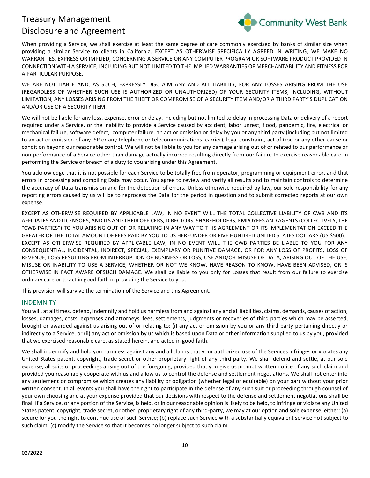

When providing a Service, we shall exercise at least the same degree of care commonly exercised by banks of similar size when providing a similar Service to clients in California. EXCEPT AS OTHERWISE SPECIFICALLY AGREED IN WRITING, WE MAKE NO WARRANTIES, EXPRESS OR IMPLIED, CONCERNING A SERVICE OR ANY COMPUTER PROGRAM OR SOFTWARE PRODUCT PROVIDED IN CONNECTION WITH A SERVICE, INCLUDING BUT NOT LIMITED TO THE IMPLIED WARRANTIES OF MERCHANTABILITY AND FITNESS FOR A PARTICULAR PURPOSE.

WE ARE NOT LIABLE AND, AS SUCH, EXPRESSLY DISCLAIM ANY AND ALL LIABILITY, FOR ANY LOSSES ARISING FROM THE USE (REGARDLESS OF WHETHER SUCH USE IS AUTHORIZED OR UNAUTHORIZED) OF YOUR SECURITY ITEMS, INCLUDING, WITHOUT LIMITATION, ANY LOSSES ARISING FROM THE THEFT OR COMPROMISE OF A SECURITY ITEM AND/OR A THIRD PARTY'S DUPLICATION AND/OR USE OF A SECURITY ITEM.

We will not be liable for any loss, expense, error or delay, including but not limited to delay in processing Data or delivery of a report required under a Service, or the inability to provide a Service caused by accident, labor unrest, flood, pandemic, fire, electrical or mechanical failure, software defect, computer failure, an act or omission or delay by you or any third party (including but not limited to an act or omission of any ISP or any telephone or telecommunications carrier), legal constraint, act of God or any other cause or condition beyond our reasonable control. We will not be liable to you for any damage arising out of or related to our performance or non-performance of a Service other than damage actually incurred resulting directly from our failure to exercise reasonable care in performing the Service or breach of a duty to you arising under this Agreement.

You acknowledge that it is not possible for each Service to be totally free from operator, programming or equipment error, and that errors in processing and compiling Data may occur. You agree to review and verify all results and to maintain controls to determine the accuracy of Data transmission and for the detection of errors. Unless otherwise required by law, our sole responsibility for any reporting errors caused by us will be to reprocess the Data for the period in question and to submit corrected reports at our own expense.

EXCEPT AS OTHERWISE REQUIRED BY APPLICABLE LAW, IN NO EVENT WILL THE TOTAL COLLECTIVE LIABILITY OF CWB AND ITS AFFILIATES AND LICENSORS, AND ITS AND THEIR OFFICERS, DIRECTORS, SHAREHOLDERS, EMPOYEES AND AGENTS (COLLECTIVELY, THE "CWB PARTIES") TO YOU ARISING OUT OF OR RELATING IN ANY WAY TO THIS AGREEMENT OR ITS IMPLEMENTATION EXCEED THE GREATER OF THE TOTAL AMOUNT OF FEES PAID BY YOU TO US HEREUNDER OR FIVE HUNDRED UNITED STATES DOLLARS (US \$500). EXCEPT AS OTHERWISE REQUIRED BY APPLICABLE LAW, IN NO EVENT WILL THE CWB PARTIES BE LIABLE TO YOU FOR ANY CONSEQUENTIAL, INCIDENTAL, INDIRECT, SPECIAL, EXEMPLARY OR PUNITIVE DAMAGE, OR FOR ANY LOSS OF PROFITS, LOSS OF REVENUE, LOSS RESULTING FROM INTERRUPTION OF BUSINESS OR LOSS, USE AND/OR MISUSE OF DATA, ARISING OUT OF THE USE, MISUSE OR INABILITY TO USE A SERVICE, WHETHER OR NOT WE KNOW, HAVE REASON TO KNOW, HAVE BEEN ADVISED, OR IS OTHERWISE IN FACT AWARE OFSUCH DAMAGE. We shall be liable to you only for Losses that result from our failure to exercise ordinary care or to act in good faith in providing the Service to you.

This provision will survive the termination of the Service and this Agreement.

# <span id="page-9-0"></span>INDEMNITY

You will, at all times, defend, indemnify and hold us harmless from and against any and all liabilities, claims, demands, causes of action, losses, damages, costs, expenses and attorneys' fees, settlements, judgments or recoveries of third parties which may be asserted, brought or awarded against us arising out of or relating to: (i) any act or omission by you or any third party pertaining directly or indirectly to a Service, or (ii) any act or omission by us which is based upon Data or other information supplied to us by you, provided that we exercised reasonable care, as stated herein, and acted in good faith.

We shall indemnify and hold you harmless against any and all claims that your authorized use of the Services infringes or violates any United States patent, copyright, trade secret or other proprietary right of any third party. We shall defend and settle, at our sole expense, all suits or proceedings arising out of the foregoing, provided that you give us prompt written notice of any such claim and provided you reasonably cooperate with us and allow us to control the defense and settlement negotiations. We shall not enter into any settlement or compromise which creates any liability or obligation (whether legal or equitable) on your part without your prior written consent. In all events you shall have the right to participate in the defense of any such suit or proceeding through counsel of your own choosing and at your expense provided that our decisions with respect to the defense and settlement negotiations shall be final. If a Service, or any portion of the Service, is held, or in our reasonable opinion is likely to be held, to infringe or violate any United States patent, copyright, trade secret, or other proprietary right of any third-party, we may at our option and sole expense, either: (a) secure for you the right to continue use of such Service; (b) replace such Service with a substantially equivalent service not subject to such claim; (c) modify the Service so that it becomes no longer subject to such claim.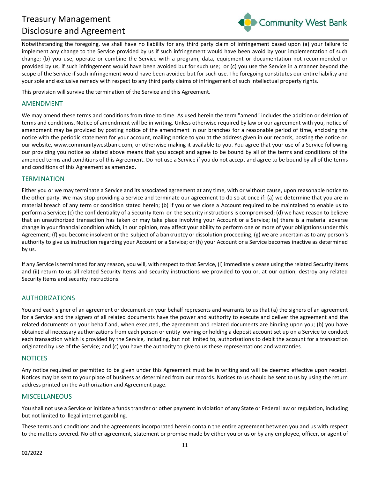

Notwithstanding the foregoing, we shall have no liability for any third party claim of infringement based upon (a) your failure to implement any change to the Service provided by us if such infringement would have been avoid by your implementation of such change; (b) you use, operate or combine the Service with a program, data, equipment or documentation not recommended or provided by us, if such infringement would have been avoided but for such use; or (c) you use the Service in a manner beyond the scope of the Service if such infringement would have been avoided but for such use. The foregoing constitutes our entire liability and your sole and exclusive remedy with respect to any third party claims of infringement of such intellectual property rights.

This provision will survive the termination of the Service and this Agreement.

#### <span id="page-10-0"></span>AMENDMENT

We may amend these terms and conditions from time to time. As used herein the term "amend" includes the addition or deletion of terms and conditions. Notice of amendment will be in writing. Unless otherwise required by law or our agreement with you, notice of amendment may be provided by posting notice of the amendment in our branches for a reasonable period of time, enclosing the notice with the periodic statement for your account, mailing notice to you at the address given in our records, posting the notice on our website, www.communitywestbank.com, or otherwise making it available to you. You agree that your use of a Service following our providing you notice as stated above means that you accept and agree to be bound by all of the terms and conditions of the amended terms and conditions of this Agreement. Do not use a Service if you do not accept and agree to be bound by all of the terms and conditions of this Agreement as amended.

# <span id="page-10-1"></span>**TERMINATION**

Either you or we may terminate a Service and its associated agreement at any time, with or without cause, upon reasonable notice to the other party. We may stop providing a Service and terminate our agreement to do so at once if: (a) we determine that you are in material breach of any term or condition stated herein; (b) if you or we close a Account required to be maintained to enable us to perform a Service; (c) the confidentiality of a Security Item or the security instructions is compromised; (d) we have reason to believe that an unauthorized transaction has taken or may take place involving your Account or a Service; (e) there is a material adverse change in your financial condition which, in our opinion, may affect your ability to perform one or more of your obligations under this Agreement; (f) you become insolvent or the subject of a bankruptcy or dissolution proceeding; (g) we are uncertain as to any person's authority to give us instruction regarding your Account or a Service; or (h) your Account or a Service becomes inactive as determined by us.

If any Service is terminated for any reason, you will, with respect to that Service, (i) immediately cease using the related Security Items and (ii) return to us all related Security Items and security instructions we provided to you or, at our option, destroy any related Security Items and security instructions.

#### <span id="page-10-2"></span>AUTHORIZATIONS

You and each signer of an agreement or document on your behalf represents and warrants to us that (a) the signers of an agreement for a Service and the signers of all related documents have the power and authority to execute and deliver the agreement and the related documents on your behalf and, when executed, the agreement and related documents are binding upon you; (b) you have obtained all necessary authorizations from each person or entity owning or holding a deposit account set up on a Service to conduct each transaction which is provided by the Service, including, but not limited to, authorizations to debit the account for a transaction originated by use of the Service; and (c) you have the authority to give to us these representations and warranties.

#### <span id="page-10-3"></span>**NOTICES**

Any notice required or permitted to be given under this Agreement must be in writing and will be deemed effective upon receipt. Notices may be sent to your place of business as determined from our records. Notices to us should be sent to us by using the return address printed on the Authorization and Agreement page.

# <span id="page-10-4"></span>MISCELLANEOUS

You shall not use a Service or initiate a funds transfer or other payment in violation of any State or Federal law or regulation, including but not limited to illegal internet gambling.

These terms and conditions and the agreements incorporated herein contain the entire agreement between you and us with respect to the matters covered. No other agreement, statement or promise made by either you or us or by any employee, officer, or agent of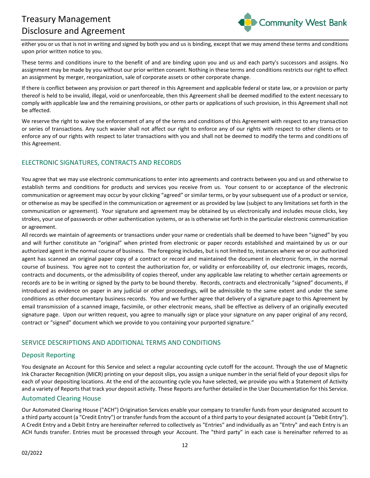

either you or us that is not in writing and signed by both you and us is binding, except that we may amend these terms and conditions upon prior written notice to you.

These terms and conditions inure to the benefit of and are binding upon you and us and each party's successors and assigns. No assignment may be made by you without our prior written consent. Nothing in these terms and conditions restricts our right to effect an assignment by merger, reorganization, sale of corporate assets or other corporate change.

If there is conflict between any provision or part thereof in this Agreement and applicable federal or state law, or a provision or party thereof is held to be invalid, illegal, void or unenforceable, then this Agreement shall be deemed modified to the extent necessary to comply with applicable law and the remaining provisions, or other parts or applications of such provision, in this Agreement shall not be affected.

We reserve the right to waive the enforcement of any of the terms and conditions of this Agreement with respect to any transaction or series of transactions. Any such wavier shall not affect our right to enforce any of our rights with respect to other clients or to enforce any of our rights with respect to later transactions with you and shall not be deemed to modify the terms and conditions of this Agreement.

# <span id="page-11-0"></span>ELECTRONIC SIGNATURES, CONTRACTS AND RECORDS

You agree that we may use electronic communications to enter into agreements and contracts between you and us and otherwise to establish terms and conditions for products and services you receive from us. Your consent to or acceptance of the electronic communication or agreement may occur by your clicking "agreed" or similar terms, or by your subsequent use of a product or service, or otherwise as may be specified in the communication or agreement or as provided by law (subject to any limitations set forth in the communication or agreement). Your signature and agreement may be obtained by us electronically and includes mouse clicks, key strokes, your use of passwords or other authentication systems, or as is otherwise set forth in the particular electronic communication or agreement.

All records we maintain of agreements or transactions under your name or credentials shall be deemed to have been "signed" by you and will further constitute an "original" when printed from electronic or paper records established and maintained by us or our authorized agent in the normal course of business. The foregoing includes, but is not limited to, instances where we or our authorized agent has scanned an original paper copy of a contract or record and maintained the document in electronic form, in the normal course of business. You agree not to contest the authorization for, or validity or enforceability of, our electronic images, records, contracts and documents, or the admissibility of copies thereof, under any applicable law relating to whether certain agreements or records are to be in writing or signed by the party to be bound thereby. Records, contracts and electronically "signed" documents, if introduced as evidence on paper in any judicial or other proceedings, will be admissible to the same extent and under the same conditions as other documentary business records. You and we further agree that delivery of a signature page to this Agreement by email transmission of a scanned image, facsimile, or other electronic means, shall be effective as delivery of an originally executed signature page. Upon our written request, you agree to manually sign or place your signature on any paper original of any record, contract or "signed" document which we provide to you containing your purported signature."

# <span id="page-11-1"></span>SERVICE DESCRIPTIONS AND ADDITIONAL TERMS AND CONDITIONS

# <span id="page-11-2"></span>Deposit Reporting

You designate an Account for this Service and select a regular accounting cycle cutoff for the account. Through the use of Magnetic Ink Character Recognition (MICR) printing on your deposit slips, you assign a unique number in the serial field of your deposit slips for each of your depositing locations. At the end of the accounting cycle you have selected, we provide you with a Statement of Activity and a variety of Reports that track your deposit activity. These Reports are further detailed in the User Documentation for this Service.

# <span id="page-11-3"></span>Automated Clearing House

Our Automated Clearing House ("ACH") Origination Services enable your company to transfer funds from your designated account to a third party account (a "Credit Entry") or transfer funds from the account of a third party to your designated account (a "Debit Entry"). A Credit Entry and a Debit Entry are hereinafter referred to collectively as "Entries" and individually as an "Entry" and each Entry is an ACH funds transfer. Entries must be processed through your Account. The "third party" in each case is hereinafter referred to as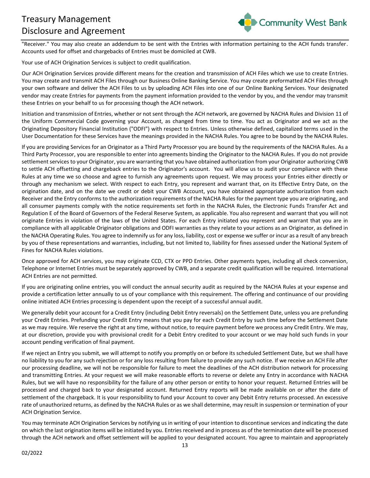

"Receiver." You may also create an addendum to be sent with the Entries with information pertaining to the ACH funds transfer. Accounts used for offset and chargebacks of Entries must be domiciled at CWB.

Your use of ACH Origination Services is subject to credit qualification.

Our ACH Origination Services provide different means for the creation and transmission of ACH Files which we use to create Entries. You may create and transmit ACH Files through our Business Online Banking Service. You may create preformatted ACH Files through your own software and deliver the ACH Files to us by uploading ACH Files into one of our Online Banking Services. Your designated vendor may create Entries for payments from the payment information provided to the vendor by you, and the vendor may transmit these Entries on your behalf to us for processing though the ACH network.

Initiation and transmission of Entries, whether or not sent through the ACH network, are governed by NACHA Rules and Division 11 of the Uniform Commercial Code governing your Account, as changed from time to time. You act as Originator and we act as the Originating Depository Financial Institution ("ODFI") with respect to Entries. Unless otherwise defined, capitalized terms used in the User Documentation for these Services have the meanings provided in the NACHA Rules. You agree to be bound by the NACHA Rules.

If you are providing Services for an Originator as a Third Party Processor you are bound by the requirements of the NACHA Rules. As a Third Party Processor, you are responsible to enter into agreements binding the Originator to the NACHA Rules. If you do not provide settlement services to your Originator, you are warranting that you have obtained authorization from your Originator authorizing CWB to settle ACH offsetting and chargeback entries to the Originator's account. You will allow us to audit your compliance with these Rules at any time we so choose and agree to furnish any agreements upon request. We may process your Entries either directly or through any mechanism we select. With respect to each Entry, you represent and warrant that, on its Effective Entry Date, on the origination date, and on the date we credit or debit your CWB Account, you have obtained appropriate authorization from each Receiver and the Entry conforms to the authorization requirements of the NACHA Rules for the payment type you are originating, and all consumer payments comply with the notice requirements set forth in the NACHA Rules, the Electronic Funds Transfer Act and Regulation E of the Board of Governors of the Federal Reserve System, as applicable. You also represent and warrant that you will not originate Entries in violation of the laws of the United States. For each Entry initiated you represent and warrant that you are in compliance with all applicable Originator obligations and ODFI warranties as they relate to your actions as an Originator, as defined in the NACHA Operating Rules. You agree to indemnify us for any loss, liability, cost or expense we suffer or incur as a result of any breach by you of these representations and warranties, including, but not limited to, liability for fines assessed under the National System of Fines for NACHA Rules violations.

Once approved for ACH services, you may originate CCD, CTX or PPD Entries. Other payments types, including all check conversion, Telephone or Internet Entries must be separately approved by CWB, and a separate credit qualification will be required. International ACH Entries are not permitted.

If you are originating online entries, you will conduct the annual security audit as required by the NACHA Rules at your expense and provide a certification letter annually to us of your compliance with this requirement. The offering and continuance of our providing online initiated ACH Entries processing is dependent upon the receipt of a successful annual audit.

We generally debit your account for a Credit Entry (including Debit Entry reversals) on the Settlement Date, unless you are prefunding your Credit Entries. Prefunding your Credit Entry means that you pay for each Credit Entry by such time before the Settlement Date as we may require. We reserve the right at any time, without notice, to require payment before we process any Credit Entry. We may, at our discretion, provide you with provisional credit for a Debit Entry credited to your account or we may hold such funds in your account pending verification of final payment.

If we reject an Entry you submit, we will attempt to notify you promptly on or before its scheduled Settlement Date, but we shall have no liability to you for any such rejection or for any loss resulting from failure to provide any such notice. If we receive an ACH File after our processing deadline, we will not be responsible for failure to meet the deadlines of the ACH distribution network for processing and transmitting Entries. At your request we will make reasonable efforts to reverse or delete any Entry in accordance with NACHA Rules, but we will have no responsibility for the failure of any other person or entity to honor your request. Returned Entries will be processed and charged back to your designated account. Returned Entry reports will be made available on or after the date of settlement of the chargeback. It is your responsibility to fund your Account to cover any Debit Entry returns processed. An excessive rate of unauthorized returns, as defined by the NACHA Rules or as we shall determine, may result in suspension or termination of your ACH Origination Service.

You may terminate ACH Origination Services by notifying us in writing of your intention to discontinue services and indicating the date on which the last origination items will be initiated by you. Entries received and in process as of the termination date will be processed through the ACH network and offset settlement will be applied to your designated account. You agree to maintain and appropriately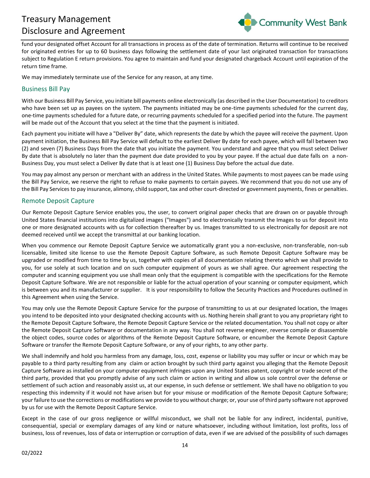

fund your designated offset Account for all transactions in process as of the date of termination. Returns will continue to be received for originated entries for up to 60 business days following the settlement date of your last originated transaction for transactions subject to Regulation E return provisions. You agree to maintain and fund your designated chargeback Account until expiration of the return time frame.

We may immediately terminate use of the Service for any reason, at any time.

# <span id="page-13-0"></span>Business Bill Pay

With our Business Bill Pay Service, you initiate bill payments online electronically (as described in the User Documentation) to creditors who have been set up as payees on the system. The payments initiated may be one-time payments scheduled for the current day, one-time payments scheduled for a future date, or recurring payments scheduled for a specified period into the future. The payment will be made out of the Account that you select at the time that the payment is initiated.

Each payment you initiate will have a "Deliver By" date, which represents the date by which the payee will receive the payment. Upon payment initiation, the Business Bill Pay Service will default to the earliest Deliver By date for each payee, which will fall between two (2) and seven (7) Business Days from the date that you initiate the payment. You understand and agree that you must select Deliver By date that is absolutely no later than the payment due date provided to you by your payee. If the actual due date falls on a non-Business Day, you must select a Deliver By date that is at least one (1) Business Day before the actual due date.

You may pay almost any person or merchant with an address in the United States. While payments to most payees can be made using the Bill Pay Service, we reserve the right to refuse to make payments to certain payees. We recommend that you do not use any of the Bill Pay Services to pay insurance, alimony, child support, tax and other court-directed or government payments, fines or penalties.

# <span id="page-13-1"></span>Remote Deposit Capture

Our Remote Deposit Capture Service enables you, the user, to convert original paper checks that are drawn on or payable through United States financial institutions into digitalized images ("Images") and to electronically transmit the Images to us for deposit into one or more designated accounts with us for collection thereafter by us. Images transmitted to us electronically for deposit are not deemed received until we accept the transmittal at our banking location.

When you commence our Remote Deposit Capture Service we automatically grant you a non-exclusive, non-transferable, non-sub licensable, limited site license to use the Remote Deposit Capture Software, as such Remote Deposit Capture Software may be upgraded or modified from time to time by us, together with copies of all documentation relating thereto which we shall provide to you, for use solely at such location and on such computer equipment of yours as we shall agree. Our agreement respecting the computer and scanning equipment you use shall mean only that the equipment is compatible with the specifications for the Remote Deposit Capture Software. We are not responsible or liable for the actual operation of your scanning or computer equipment, which is between you and its manufacturer or supplier. It is your responsibility to follow the Security Practices and Procedures outlined in this Agreement when using the Service.

You may only use the Remote Deposit Capture Service for the purpose of transmitting to us at our designated location, the Images you intend to be deposited into your designated checking accounts with us. Nothing herein shall grant to you any proprietary right to the Remote Deposit Capture Software, the Remote Deposit Capture Service or the related documentation. You shall not copy or alter the Remote Deposit Capture Software or documentation in any way. You shall not reverse engineer, reverse compile or disassemble the object codes, source codes or algorithms of the Remote Deposit Capture Software, or encumber the Remote Deposit Capture Software or transfer the Remote Deposit Capture Software, or any of your rights, to any other party.

We shall indemnify and hold you harmless from any damage, loss, cost, expense or liability you may suffer or incur or which may be payable to a third party resulting from any claim or action brought by such third party against you alleging that the Remote Deposit Capture Software as installed on your computer equipment infringes upon any United States patent, copyright or trade secret of the third party, provided that you promptly advise of any such claim or action in writing and allow us sole control over the defense or settlement of such action and reasonably assist us, at our expense, in such defense or settlement. We shall have no obligation to you respecting this indemnity if it would not have arisen but for your misuse or modification of the Remote Deposit Capture Software; your failure to use the corrections or modifications we provide to you without charge; or, your use of third party software not approved by us for use with the Remote Deposit Capture Service.

Except in the case of our gross negligence or willful misconduct, we shall not be liable for any indirect, incidental, punitive, consequential, special or exemplary damages of any kind or nature whatsoever, including without limitation, lost profits, loss of business, loss of revenues, loss of data or interruption or corruption of data, even if we are advised of the possibility of such damages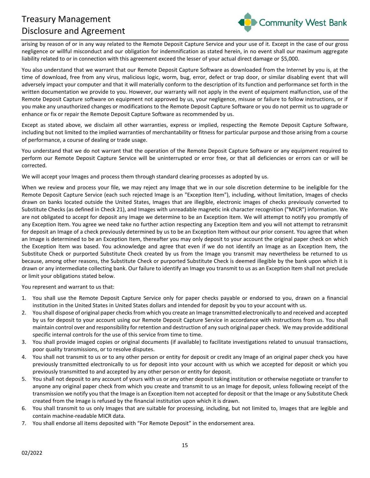

arising by reason of or in any way related to the Remote Deposit Capture Service and your use of it. Except in the case of our gross negligence or willful misconduct and our obligation for indemnification as stated herein, in no event shall our maximum aggregate liability related to or in connection with this agreement exceed the lesser of your actual direct damage or \$5,000.

You also understand that we warrant that our Remote Deposit Capture Software as downloaded from the Internet by you is, at the time of download, free from any virus, malicious logic, worm, bug, error, defect or trap door, or similar disabling event that will adversely impact your computer and that it will materially conform to the description of its function and performance set forth in the written documentation we provide to you. However, our warranty will not apply in the event of equipment malfunction, use of the Remote Deposit Capture software on equipment not approved by us, your negligence, misuse or failure to follow instructions, or if you make any unauthorized changes or modifications to the Remote Deposit Capture Software or you do not permit us to upgrade or enhance or fix or repair the Remote Deposit Capture Software as recommended by us.

Except as stated above, we disclaim all other warranties, express or implied, respecting the Remote Deposit Capture Software, including but not limited to the implied warranties of merchantability or fitness for particular purpose and those arising from a course of performance, a course of dealing or trade usage.

You understand that we do not warrant that the operation of the Remote Deposit Capture Software or any equipment required to perform our Remote Deposit Capture Service will be uninterrupted or error free, or that all deficiencies or errors can or will be corrected.

We will accept your Images and process them through standard clearing processes as adopted by us.

When we review and process your file, we may reject any Image that we in our sole discretion determine to be ineligible for the Remote Deposit Capture Service (each such rejected Image is an "Exception Item"), including, without limitation, Images of checks drawn on banks located outside the United States, Images that are illegible, electronic images of checks previously converted to Substitute Checks (as defined in Check 21), and Images with unreadable magnetic ink character recognition ("MICR") information. We are not obligated to accept for deposit any Image we determine to be an Exception Item. We will attempt to notify you promptly of any Exception Item. You agree we need take no further action respecting any Exception Item and you will not attempt to retransmit for deposit an Image of a check previously determined by us to be an Exception Item without our prior consent. You agree that when an Image is determined to be an Exception Item, thereafter you may only deposit to your account the original paper check on which the Exception Item was based. You acknowledge and agree that even if we do not identify an Image as an Exception Item, the Substitute Check or purported Substitute Check created by us from the Image you transmit may nevertheless be returned to us because, among other reasons, the Substitute Check or purported Substitute Check is deemed illegible by the bank upon which it is drawn or any intermediate collecting bank. Our failure to identify an Image you transmit to us as an Exception Item shall not preclude or limit your obligations stated below.

You represent and warrant to us that:

- 1. You shall use the Remote Deposit Capture Service only for paper checks payable or endorsed to you, drawn on a financial institution in the United States in United States dollars and intended for deposit by you to your account with us.
- 2. You shall dispose of original paper checks from which you create an Image transmitted electronically to and received and accepted by us for deposit to your account using our Remote Deposit Capture Service in accordance with instructions from us. You shall maintain control over and responsibility for retention and destruction of any such original paper check. We may provide additional specific internal controls for the use of this service from time to time.
- 3. You shall provide imaged copies or original documents (if available) to facilitate investigations related to unusual transactions, poor quality transmissions, or to resolve disputes.
- 4. You shall not transmit to us or to any other person or entity for deposit or credit any Image of an original paper check you have previously transmitted electronically to us for deposit into your account with us which we accepted for deposit or which you previously transmitted to and accepted by any other person or entity for deposit.
- 5. You shall not deposit to any account of yours with us or any other deposit taking institution or otherwise negotiate or transfer to anyone any original paper check from which you create and transmit to us an Image for deposit, unless following receipt of the transmission we notify you that the Image is an Exception Item not accepted for deposit or that the Image or any Substitute Check created from the Image is refused by the financial institution upon which it is drawn.
- 6. You shall transmit to us only Images that are suitable for processing, including, but not limited to, Images that are legible and contain machine-readable MICR data.
- 7. You shall endorse all items deposited with "For Remote Deposit" in the endorsement area.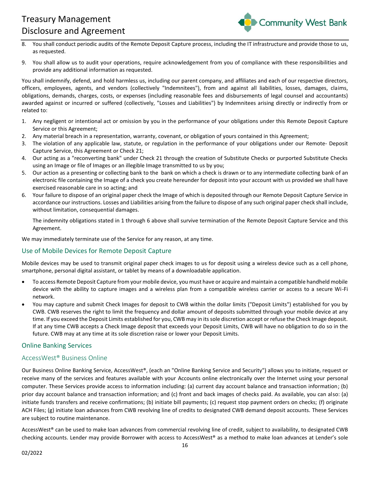

- 8. You shall conduct periodic audits of the Remote Deposit Capture process, including the IT infrastructure and provide those to us, as requested.
- 9. You shall allow us to audit your operations, require acknowledgement from you of compliance with these responsibilities and provide any additional information as requested.

You shall indemnify, defend, and hold harmless us, including our parent company, and affiliates and each of our respective directors, officers, employees, agents, and vendors (collectively "Indemnitees"), from and against all liabilities, losses, damages, claims, obligations, demands, charges, costs, or expenses (including reasonable fees and disbursements of legal counsel and accountants) awarded against or incurred or suffered (collectively, "Losses and Liabilities") by Indemnitees arising directly or indirectly from or related to:

- 1. Any negligent or intentional act or omission by you in the performance of your obligations under this Remote Deposit Capture Service or this Agreement;
- 2. Any material breach in a representation, warranty, covenant, or obligation of yours contained in this Agreement;
- 3. The violation of any applicable law, statute, or regulation in the performance of your obligations under our Remote- Deposit Capture Service, this Agreement or Check 21;
- 4. Our acting as a "reconverting bank" under Check 21 through the creation of Substitute Checks or purported Substitute Checks using an Image or file of Images or an illegible Image transmitted to us by you;
- 5. Our action as a presenting or collecting bank to the bank on which a check is drawn or to any intermediate collecting bank of an electronic file containing the Image of a check you create hereunder for deposit into your account with us provided we shall have exercised reasonable care in so acting; and
- 6. Your failure to dispose of an original paper check the Image of which is deposited through our Remote Deposit Capture Service in accordance our instructions. Losses and Liabilities arising from the failure to dispose of any such original paper check shall include, without limitation, consequential damages.

The indemnity obligations stated in 1 through 6 above shall survive termination of the Remote Deposit Capture Service and this Agreement.

We may immediately terminate use of the Service for any reason, at any time.

# <span id="page-15-0"></span>Use of Mobile Devices for Remote Deposit Capture

Mobile devices may be used to transmit original paper check images to us for deposit using a wireless device such as a cell phone, smartphone, personal digital assistant, or tablet by means of a downloadable application.

- To access Remote Deposit Capture from your mobile device, you must have or acquire and maintain a compatible handheld mobile device with the ability to capture images and a wireless plan from a compatible wireless carrier or access to a secure Wi-Fi network.
- You may capture and submit Check Images for deposit to CWB within the dollar limits ("Deposit Limits") established for you by CWB. CWB reserves the right to limit the frequency and dollar amount of deposits submitted through your mobile device at any time. If you exceed the Deposit Limits established for you, CWB may in its sole discretion accept or refuse the Check Image deposit. If at any time CWB accepts a Check Image deposit that exceeds your Deposit Limits, CWB will have no obligation to do so in the future. CWB may at any time at its sole discretion raise or lower your Deposit Limits.

# <span id="page-15-1"></span>Online Banking Services

# <span id="page-15-2"></span>AccessWest® Business Online

Our Business Online Banking Service, AccessWest®, (each an "Online Banking Service and Security") allows you to initiate, request or receive many of the services and features available with your Accounts online electronically over the Internet using your personal computer. These Services provide access to information including: (a) current day account balance and transaction information; (b) prior day account balance and transaction information; and (c) front and back images of checks paid. As available, you can also: (a) initiate funds transfers and receive confirmations; (b) initiate bill payments; (c) request stop payment orders on checks; (f) originate ACH Files; (g) initiate loan advances from CWB revolving line of credits to designated CWB demand deposit accounts. These Services are subject to routine maintenance.

AccessWest® can be used to make loan advances from commercial revolving line of credit, subject to availability, to designated CWB checking accounts. Lender may provide Borrower with access to AccessWest® as a method to make loan advances at Lender's sole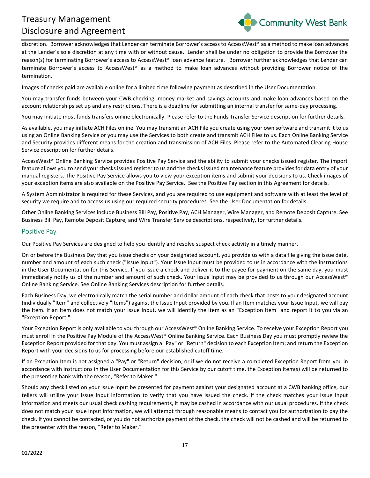

discretion. Borrower acknowledges that Lender can terminate Borrower's access to AccessWest® as a method to make loan advances at the Lender's sole discretion at any time with or without cause. Lender shall be under no obligation to provide the Borrower the reason(s) for terminating Borrower's access to AccessWest® loan advance feature. Borrower further acknowledges that Lender can terminate Borrower's access to AccessWest® as a method to make loan advances without providing Borrower notice of the termination.

Images of checks paid are available online for a limited time following payment as described in the User Documentation.

You may transfer funds between your CWB checking, money market and savings accounts and make loan advances based on the account relationships set up and any restrictions. There is a deadline for submitting an internal transfer for same-day processing.

You may initiate most funds transfers online electronically. Please refer to the Funds Transfer Service description for further details.

As available, you may initiate ACH Files online. You may transmit an ACH File you create using your own software and transmit it to us using an Online Banking Service or you may use the Services to both create and transmit ACH Files to us. Each Online Banking Service and Security provides different means for the creation and transmission of ACH Files. Please refer to the Automated Clearing House Service description for further details.

AccessWest® Online Banking Service provides Positive Pay Service and the ability to submit your checks issued register. The import feature allows you to send your checks issued register to us and the checks issued maintenance feature provides for data entry of your manual registers. The Positive Pay Service allows you to view your exception items and submit your decisions to us. Check images of your exception items are also available on the Positive Pay Service. See the Positive Pay section in this Agreement for details.

A System Administrator is required for these Services, and you are required to use equipment and software with at least the level of security we require and to access us using our required security procedures. See the User Documentation for details.

Other Online Banking Services include Business Bill Pay, Positive Pay, ACH Manager, Wire Manager, and Remote Deposit Capture. See Business Bill Pay, Remote Deposit Capture, and Wire Transfer Service descriptions, respectively, for further details.

#### <span id="page-16-0"></span>Positive Pay

Our Positive Pay Services are designed to help you identify and resolve suspect check activity in a timely manner.

On or before the Business Day that you issue checks on your designated account, you provide us with a data file giving the issue date, number and amount of each such check ("Issue Input"). Your Issue Input must be provided to us in accordance with the instructions in the User Documentation for this Service. If you issue a check and deliver it to the payee for payment on the same day, you must immediately notify us of the number and amount of such check. Your Issue Input may be provided to us through our AccessWest® Online Banking Service. See Online Banking Services description for further details.

Each Business Day, we electronically match the serial number and dollar amount of each check that posts to your designated account (individually "Item" and collectively "Items") against the Issue Input provided by you. If an Item matches your Issue Input, we will pay the Item. If an Item does not match your Issue Input, we will identify the Item as an "Exception Item" and report it to you via an "Exception Report."

Your Exception Report is only available to you through our AccessWest® Online Banking Service. To receive your Exception Report you must enroll in the Positive Pay Module of the AccessWest® Online Banking Service. Each Business Day you must promptly review the Exception Report provided for that day. You must assign a "Pay" or "Return" decision to each Exception Item; and return the Exception Report with your decisions to us for processing before our established cutoff time.

If an Exception Item is not assigned a "Pay" or "Return" decision, or if we do not receive a completed Exception Report from you in accordance with instructions in the User Documentation for this Service by our cutoff time, the Exception Item(s) will be returned to the presenting bank with the reason, "Refer to Maker."

Should any check listed on your Issue Input be presented for payment against your designated account at a CWB banking office, our tellers will utilize your Issue Input information to verify that you have issued the check. If the check matches your Issue Input information and meets our usual check cashing requirements, it may be cashed in accordance with our usual procedures. If the check does not match your Issue Input information, we will attempt through reasonable means to contact you for authorization to pay the check. If you cannot be contacted, or you do not authorize payment of the check, the check will not be cashed and will be returned to the presenter with the reason, "Refer to Maker."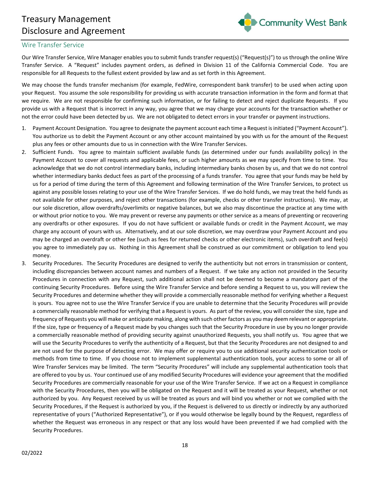

#### <span id="page-17-0"></span>Wire Transfer Service

Our Wire Transfer Service, Wire Manager enables you to submit funds transfer request(s) ("Request(s)") to us through the online Wire Transfer Service. A "Request" includes payment orders, as defined in Division 11 of the California Commercial Code. You are responsible for all Requests to the fullest extent provided by law and as set forth in this Agreement.

We may choose the funds transfer mechanism (for example, FedWire, correspondent bank transfer) to be used when acting upon your Request. You assume the sole responsibility for providing us with accurate transaction information in the form and format that we require. We are not responsible for confirming such information, or for failing to detect and reject duplicate Requests. If you provide us with a Request that is incorrect in any way, you agree that we may charge your accounts for the transaction whether or not the error could have been detected by us. We are not obligated to detect errors in your transfer or payment instructions.

- 1. Payment Account Designation. You agree to designate the payment account each time a Request is initiated ("Payment Account"). You authorize us to debit the Payment Account or any other account maintained by you with us for the amount of the Request plus any fees or other amounts due to us in connection with the Wire Transfer Services.
- 2. Sufficient Funds. You agree to maintain sufficient available funds (as determined under our funds availability policy) in the Payment Account to cover all requests and applicable fees, or such higher amounts as we may specify from time to time. You acknowledge that we do not control intermediary banks, including intermediary banks chosen by us, and that we do not control whether intermediary banks deduct fees as part of the processing of a funds transfer. You agree that your funds may be held by us for a period of time during the term of this Agreement and following termination of the Wire Transfer Services, to protect us against any possible losses relating to your use of the Wire Transfer Services. If we do hold funds, we may treat the held funds as not available for other purposes, and reject other transactions (for example, checks or other transfer instructions). We may, at our sole discretion, allow overdrafts/overlimits or negative balances, but we also may discontinue the practice at any time with or without prior notice to you. We may prevent or reverse any payments or other service as a means of preventing or recovering any overdrafts or other exposures. If you do not have sufficient or available funds or credit in the Payment Account, we may charge any account of yours with us. Alternatively, and at our sole discretion, we may overdraw your Payment Account and you may be charged an overdraft or other fee (such as fees for returned checks or other electronic items), such overdraft and fee(s) you agree to immediately pay us. Nothing in this Agreement shall be construed as our commitment or obligation to lend you money.
- 3. Security Procedures. The Security Procedures are designed to verify the authenticity but not errors in transmission or content, including discrepancies between account names and numbers of a Request. If we take any action not provided in the Security Procedures in connection with any Request, such additional action shall not be deemed to become a mandatory part of the continuing Security Procedures. Before using the Wire Transfer Service and before sending a Request to us, you will review the Security Procedures and determine whether they will provide a commercially reasonable method for verifying whether a Request is yours. You agree not to use the Wire Transfer Service if you are unable to determine that the Security Procedures will provide a commercially reasonable method for verifying that a Request is yours. As part of the review, you will consider the size, type and frequency of Requests you will make or anticipate making, along with such other factors as you may deem relevant or appropriate. If the size, type or frequency of a Request made by you changes such that the Security Procedure in use by you no longer provide a commercially reasonable method of providing security against unauthorized Requests, you shall notify us. You agree that we will use the Security Procedures to verify the authenticity of a Request, but that the Security Procedures are not designed to and are not used for the purpose of detecting error. We may offer or require you to use additional security authentication tools or methods from time to time. If you choose not to implement supplemental authentication tools, your access to some or all of Wire Transfer Services may be limited. The term "Security Procedures" will include any supplemental authentication tools that are offered to you by us. Your continued use of any modified Security Procedures will evidence your agreement that the modified Security Procedures are commercially reasonable for your use of the Wire Transfer Service. If we act on a Request in compliance with the Security Procedures, then you will be obligated on the Request and it will be treated as your Request, whether or not authorized by you. Any Request received by us will be treated as yours and will bind you whether or not we complied with the Security Procedures, if the Request is authorized by you, if the Request is delivered to us directly or indirectly by any authorized representative of yours ("Authorized Representative"), or if you would otherwise be legally bound by the Request, regardless of whether the Request was erroneous in any respect or that any loss would have been prevented if we had complied with the Security Procedures.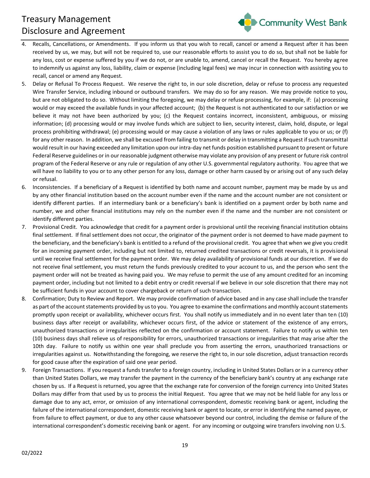

- 4. Recalls, Cancellations, or Amendments. If you inform us that you wish to recall, cancel or amend a Request after it has been received by us, we may, but will not be required to, use our reasonable efforts to assist you to do so, but shall not be liable for any loss, cost or expense suffered by you if we do not, or are unable to, amend, cancel or recall the Request. You hereby agree to indemnify us against any loss, liability, claim or expense (including legal fees) we may incur in connection with assisting you to recall, cancel or amend any Request.
- 5. Delay or Refusal To Process Request. We reserve the right to, in our sole discretion, delay or refuse to process any requested Wire Transfer Service, including inbound or outbound transfers. We may do so for any reason. We may provide notice to you, but are not obligated to do so. Without limiting the foregoing, we may delay or refuse processing, for example, if: (a) processing would or may exceed the available funds in your affected account; (b) the Request is not authenticated to our satisfaction or we believe it may not have been authorized by you; (c) the Request contains incorrect, inconsistent, ambiguous, or missing information; (d) processing would or may involve funds which are subject to lien, security interest, claim, hold, dispute, or legal process prohibiting withdrawal; (e) processing would or may cause a violation of any laws or rules applicable to you or us; or (f) for any other reason. In addition, we shall be excused from failing to transmit or delay in transmitting a Request if such transmittal would result in our having exceeded any limitation upon our intra-day net funds position established pursuant to present or future Federal Reserve guidelines or in our reasonable judgment otherwise may violate any provision of any present or future risk control program of the Federal Reserve or any rule or regulation of any other U.S. governmental regulatory authority. You agree that we will have no liability to you or to any other person for any loss, damage or other harm caused by or arising out of any such delay or refusal.
- 6. Inconsistencies. If a beneficiary of a Request is identified by both name and account number, payment may be made by us and by any other financial institution based on the account number even if the name and the account number are not consistent or identify different parties. If an intermediary bank or a beneficiary's bank is identified on a payment order by both name and number, we and other financial institutions may rely on the number even if the name and the number are not consistent or identify different parties.
- 7. Provisional Credit. You acknowledge that credit for a payment order is provisional until the receiving financial institution obtains final settlement. If final settlement does not occur, the originator of the payment order is not deemed to have made payment to the beneficiary, and the beneficiary's bank is entitled to a refund of the provisional credit. You agree that when we give you credit for an incoming payment order, including but not limited to, returned credited transactions or credit reversals, it is provisional until we receive final settlement for the payment order. We may delay availability of provisional funds at our discretion. If we do not receive final settlement, you must return the funds previously credited to your account to us, and the person who sent the payment order will not be treated as having paid you. We may refuse to permit the use of any amount credited for an incoming payment order, including but not limited to a debit entry or credit reversal if we believe in our sole discretion that there may not be sufficient funds in your account to cover chargeback or return of such transaction.
- 8. Confirmation; Duty to Review and Report. We may provide confirmation of advice based and in any case shall include the transfer as part of the account statements provided by us to you. You agree to examine the confirmations and monthly account statements promptly upon receipt or availability, whichever occurs first. You shall notify us immediately and in no event later than ten (10) business days after receipt or availability, whichever occurs first, of the advice or statement of the existence of any errors, unauthorized transactions or irregularities reflected on the confirmation or account statement. Failure to notify us within ten (10) business days shall relieve us of responsibility for errors, unauthorized transactions or irregularities that may arise after the 10th day. Failure to notify us within one year shall preclude you from asserting the errors, unauthorized transactions or irregularities against us. Notwithstanding the foregoing, we reserve the right to, in our sole discretion, adjust transaction records for good cause after the expiration of said one year period.
- 9. Foreign Transactions. If you request a funds transfer to a foreign country, including in United States Dollars or in a currency other than United States Dollars, we may transfer the payment in the currency of the beneficiary bank's country at any exchange rate chosen by us. If a Request is returned, you agree that the exchange rate for conversion of the foreign currency into United States Dollars may differ from that used by us to process the initial Request. You agree that we may not be held liable for any loss or damage due to any act, error, or omission of any international correspondent, domestic receiving bank or agent, including the failure of the international correspondent, domestic receiving bank or agent to locate, or error in identifying the named payee, or from failure to effect payment, or due to any other cause whatsoever beyond our control, including the demise or failure of the international correspondent's domestic receiving bank or agent. For any incoming or outgoing wire transfers involving non U.S.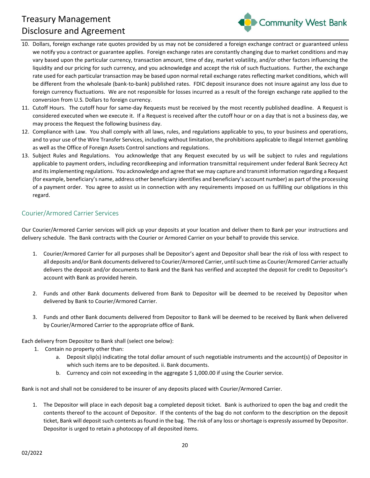

- 10. Dollars, foreign exchange rate quotes provided by us may not be considered a foreign exchange contract or guaranteed unless we notify you a contract or guarantee applies. Foreign exchange rates are constantly changing due to market conditions and may vary based upon the particular currency, transaction amount, time of day, market volatility, and/or other factors influencing the liquidity and our pricing for such currency, and you acknowledge and accept the risk of such fluctuations. Further, the exchange rate used for each particular transaction may be based upon normal retail exchange rates reflecting market conditions, which will be different from the wholesale (bank-to-bank) published rates. FDIC deposit insurance does not insure against any loss due to foreign currency fluctuations. We are not responsible for losses incurred as a result of the foreign exchange rate applied to the conversion from U.S. Dollars to foreign currency.
- 11. Cutoff Hours. The cutoff hour for same-day Requests must be received by the most recently published deadline. A Request is considered executed when we execute it. If a Request is received after the cutoff hour or on a day that is not a business day, we may process the Request the following business day.
- 12. Compliance with Law. You shall comply with all laws, rules, and regulations applicable to you, to your business and operations, and to your use of the Wire Transfer Services, including without limitation, the prohibitions applicable to illegal Internet gambling as well as the Office of Foreign Assets Control sanctions and regulations.
- 13. Subject Rules and Regulations. You acknowledge that any Request executed by us will be subject to rules and regulations applicable to payment orders, including recordkeeping and information transmittal requirement under federal Bank Secrecy Act and its implementing regulations. You acknowledge and agree that we may capture and transmit information regarding a Request (for example, beneficiary's name, address other beneficiary identifies and beneficiary's account number) as part of the processing of a payment order. You agree to assist us in connection with any requirements imposed on us fulfilling our obligations in this regard.

# <span id="page-19-0"></span>Courier/Armored Carrier Services

Our Courier/Armored Carrier services will pick up your deposits at your location and deliver them to Bank per your instructions and delivery schedule. The Bank contracts with the Courier or Armored Carrier on your behalf to provide this service.

- 1. Courier/Armored Carrier for all purposes shall be Depositor's agent and Depositor shall bear the risk of loss with respect to all deposits and/or Bank documents delivered to Courier/Armored Carrier, until such time as Courier/Armored Carrier actually delivers the deposit and/or documents to Bank and the Bank has verified and accepted the deposit for credit to Depositor's account with Bank as provided herein.
- 2. Funds and other Bank documents delivered from Bank to Depositor will be deemed to be received by Depositor when delivered by Bank to Courier/Armored Carrier.
- 3. Funds and other Bank documents delivered from Depositor to Bank will be deemed to be received by Bank when delivered by Courier/Armored Carrier to the appropriate office of Bank.

Each delivery from Depositor to Bank shall (select one below):

- 1. Contain no property other than:
	- a. Deposit slip(s) indicating the total dollar amount of such negotiable instruments and the account(s) of Depositor in which such items are to be deposited. ii. Bank documents.
	- b. Currency and coin not exceeding in the aggregate \$ 1,000.00 if using the Courier service.

Bank is not and shall not be considered to be insurer of any deposits placed with Courier/Armored Carrier.

1. The Depositor will place in each deposit bag a completed deposit ticket. Bank is authorized to open the bag and credit the contents thereof to the account of Depositor. If the contents of the bag do not conform to the description on the deposit ticket, Bank will deposit such contents as found in the bag. The risk of any loss or shortage is expressly assumed by Depositor. Depositor is urged to retain a photocopy of all deposited items.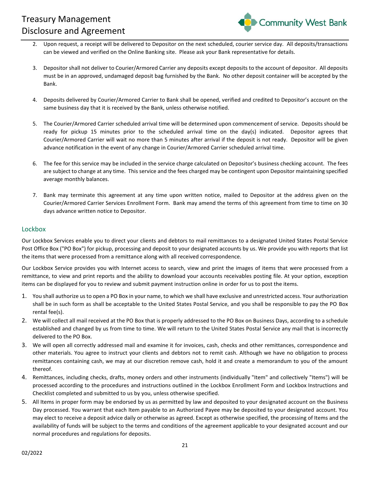

- 2. Upon request, a receipt will be delivered to Depositor on the next scheduled, courier service day. All deposits/transactions can be viewed and verified on the Online Banking site. Please ask your Bank representative for details.
- 3. Depositor shall not deliver to Courier/Armored Carrier any deposits except deposits to the account of depositor. All deposits must be in an approved, undamaged deposit bag furnished by the Bank. No other deposit container will be accepted by the Bank.
- 4. Deposits delivered by Courier/Armored Carrier to Bank shall be opened, verified and credited to Depositor's account on the same business day that it is received by the Bank, unless otherwise notified.
- 5. The Courier/Armored Carrier scheduled arrival time will be determined upon commencement of service. Deposits should be ready for pickup 15 minutes prior to the scheduled arrival time on the day(s) indicated. Depositor agrees that Courier/Armored Carrier will wait no more than 5 minutes after arrival if the deposit is not ready. Depositor will be given advance notification in the event of any change in Courier/Armored Carrier scheduled arrival time.
- 6. The fee for this service may be included in the service charge calculated on Depositor's business checking account. The fees are subject to change at any time. This service and the fees charged may be contingent upon Depositor maintaining specified average monthly balances.
- 7. Bank may terminate this agreement at any time upon written notice, mailed to Depositor at the address given on the Courier/Armored Carrier Services Enrollment Form. Bank may amend the terms of this agreement from time to time on 30 days advance written notice to Depositor.

#### <span id="page-20-0"></span>Lockbox

Our Lockbox Services enable you to direct your clients and debtors to mail remittances to a designated United States Postal Service Post Office Box ("PO Box") for pickup, processing and deposit to your designated accounts by us. We provide you with reports that list the items that were processed from a remittance along with all received correspondence.

Our Lockbox Service provides you with Internet access to search, view and print the images of items that were processed from a remittance, to view and print reports and the ability to download your accounts receivables posting file. At your option, exception items can be displayed for you to review and submit payment instruction online in order for us to post the items.

- 1. You shall authorize us to open a PO Box in your name, to which we shall have exclusive and unrestricted access. Your authorization shall be in such form as shall be acceptable to the United States Postal Service, and you shall be responsible to pay the PO Box rental fee(s).
- 2. We will collect all mail received at the PO Box that is properly addressed to the PO Box on Business Days, according to a schedule established and changed by us from time to time. We will return to the United States Postal Service any mail that is incorrectly delivered to the PO Box.
- 3. We will open all correctly addressed mail and examine it for invoices, cash, checks and other remittances, correspondence and other materials. You agree to instruct your clients and debtors not to remit cash. Although we have no obligation to process remittances containing cash, we may at our discretion remove cash, hold it and create a memorandum to you of the amount thereof.
- 4. Remittances, including checks, drafts, money orders and other instruments (individually "Item" and collectively "Items") will be processed according to the procedures and instructions outlined in the Lockbox Enrollment Form and Lockbox Instructions and Checklist completed and submitted to us by you, unless otherwise specified.
- 5. All Items in proper form may be endorsed by us as permitted by law and deposited to your designated account on the Business Day processed. You warrant that each Item payable to an Authorized Payee may be deposited to your designated account. You may elect to receive a deposit advice daily or otherwise as agreed. Except as otherwise specified, the processing of Items and the availability of funds will be subject to the terms and conditions of the agreement applicable to your designated account and our normal procedures and regulations for deposits.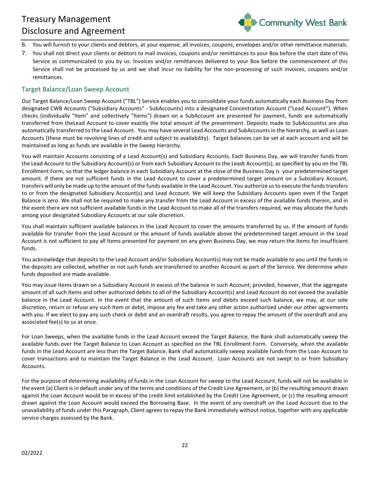

- 6. You will furnish to your clients and debtors, at your expense, all invoices, coupons, envelopes and/or other remittance materials.
- 7. You shall not direct your clients or debtors to mail invoices, coupons and/or remittances to your Box before the start date of this Service as communicated to you by us. Invoices and/or remittances delivered to your Box before the commencement of this Service shall not be processed by us and we shall incur no liability for the non-processing of such invoices, coupons and/or remittances.

#### <span id="page-21-0"></span>Target Balance/Loan Sweep Account

Our Target Balance/Loan Sweep Account ("TBL") Service enables you to consolidate your funds automatically each Business Day from designated CWB Accounts ("Subsidiary Accounts" - SubAccounts) into a designated Concentration Account ("Lead Account"). When checks (individually "Item" and collectively "Items") drawn on a SubAccount are presented for payment, funds are automatically transferred from theLead Account to cover exactly the total amount of the presentment. Deposits made to SubAccountss are also automatically transferred to the Lead Account. You may have several Lead Accounts and SubAccounts in the hierarchy, as well as Loan Accounts (these must be revolving lines of credit and subject to availability). Target balances can be set at each account and will be maintained as long as funds are available in the Sweep hierarchy.

You will maintain Accounts consisting of a Lead Account(s) and Subsidiary Accounts. Each Business Day, we will transfer funds from the Lead Account to the Subsidiary Account(s) or from each Subsidiary Account to the Leadt Account(s), as specified by you on the TBL Enrollment Form, so that the ledger balance in each Subsidiary Account at the close of the Business Day is your predetermined target amount. If there are not sufficient funds in the Lead Account to cover a predetermined target amount on a Subsidiary Account, transfers will only be made up to the amount of the funds available in the Lead Account. You authorize us to execute the funds transfers to or from the designated Subsidiary Account(s) and Lead Account. We will keep the Subsidiary Accounts open even if the Target Balance is zero. We shall not be required to make any transfer from the Lead Account in excess of the available funds therein, and in the event there are not sufficient available funds in the Lead Account to make all of the transfers required, we may allocate the funds among your designated Subsidiary Accounts at our sole discretion.

You shall maintain sufficient available balances in the Lead Account to cover the amounts transferred by us. If the amount of funds available for transfer from the Lead Account or the amount of funds available above the predetermined target amount in the Lead Account is not sufficient to pay all Items presented for payment on any given Business Day, we may return the Items for insufficient funds.

You acknowledge that deposits to the Lead Account and/or Subsidiary Account(s) may not be made available to you until the funds in the deposits are collected, whether or not such funds are transferred to another Account as part of the Service. We determine when funds deposited are made available.

You may issue Items drawn on a Subsidiary Account in excess of the balance in such Account, provided, however, that the aggregate amount of all such Items and other authorized debits to all of the Subsidiary Account(s) and Lead Account do not exceed the available balance in the Lead Account. In the event that the amount of such Items and debits exceed such balance, we may, at our sole discretion, return or refuse any such Item or debit, impose any fee and take any other action authorized under our other agreements with you. If we elect to pay any such check or debit and an overdraft results, you agree to repay the amount of the overdraft and any associated fee(s) to us at once.

For Loan Sweeps, when the available funds in the Lead Account exceed the Target Balance, the Bank shall automatically sweep the available funds over the Target Balance to Loan Account as specified on the TBL Enrollment Form. Conversely, when the available funds in the Lead Account are less than the Target Balance, Bank shall automatically sweep available funds from the Loan Account to cover transactions and to maintain the Target Balance in the Lead Account. Loan Accounts are not swept to or from Subsidiary Accounts.

For the purpose of determining availability of funds in the Loan Account for sweep to the Lead Account, funds will not be available in the event (a) Client is in default under any of the terms and conditions of the Credit Line Agreement, or (b) the resulting amount drawn against the Loan Account would be in excess of the credit limit established by the Credit Line Agreement, or (c) the resulting amount drawn against the Loan Account would exceed the Borrowing Base. In the event of any overdraft on the Lead Account due to the unavailability of funds under this Paragraph, Client agrees to repay the Bank immediately without notice, together with any applicable service charges assessed by the Bank.